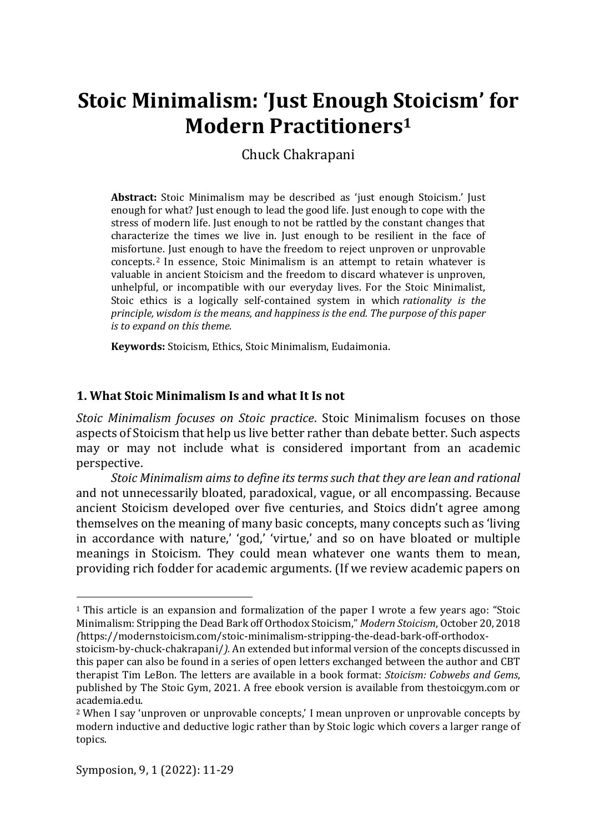Chuck Chakrapani

**Abstract:** Stoic Minimalism may be described as 'just enough Stoicism.' Just enough for what? Just enough to lead the good life. Just enough to cope with the stress of modern life. Just enough to not be rattled by the constant changes that characterize the times we live in. Just enough to be resilient in the face of misfortune. Just enough to have the freedom to reject unproven or unprovable concepts. <sup>2</sup> In essence, Stoic Minimalism is an attempt to retain whatever is valuable in ancient Stoicism and the freedom to discard whatever is unproven, unhelpful, or incompatible with our everyday lives. For the Stoic Minimalist, Stoic ethics is a logically self-contained system in which *rationality is the principle, wisdom is the means, and happiness is the end. The purpose of this paper is to expand on this theme.*

**Keywords:** Stoicism, Ethics, Stoic Minimalism, Eudaimonia.

# **1. What Stoic Minimalism Is and what It Is not**

*Stoic Minimalism focuses on Stoic practice*. Stoic Minimalism focuses on those aspects of Stoicism that help us live better rather than debate better. Such aspects may or may not include what is considered important from an academic perspective.

*Stoic Minimalism aims to define its terms such that they are lean and rational*  and not unnecessarily bloated, paradoxical, vague, or all encompassing. Because ancient Stoicism developed over five centuries, and Stoics didn't agree among themselves on the meaning of many basic concepts, many concepts such as 'living in accordance with nature,' 'god,' 'virtue,' and so on have bloated or multiple meanings in Stoicism. They could mean whatever one wants them to mean, providing rich fodder for academic arguments. (If we review academic papers on

<sup>1</sup> This article is an expansion and formalization of the paper I wrote a few years ago: "Stoic Minimalism: Stripping the Dead Bark off Orthodox Stoicism," *Modern Stoicism*, October 20, 2018 *(*https://modernstoicism.com/stoic-minimalism-stripping-the-dead-bark-off-orthodox-

stoicism-by-chuck-chakrapani/*).* An extended but informal version of the concepts discussed in this paper can also be found in a series of open letters exchanged between the author and CBT therapist Tim LeBon. The letters are available in a book format: *Stoicism: Cobwebs and Gems*, published by The Stoic Gym, 2021. A free ebook version is available from thestoicgym.com or academia.edu.

<sup>2</sup> When I say 'unproven or unprovable concepts,' I mean unproven or unprovable concepts by modern inductive and deductive logic rather than by Stoic logic which covers a larger range of topics.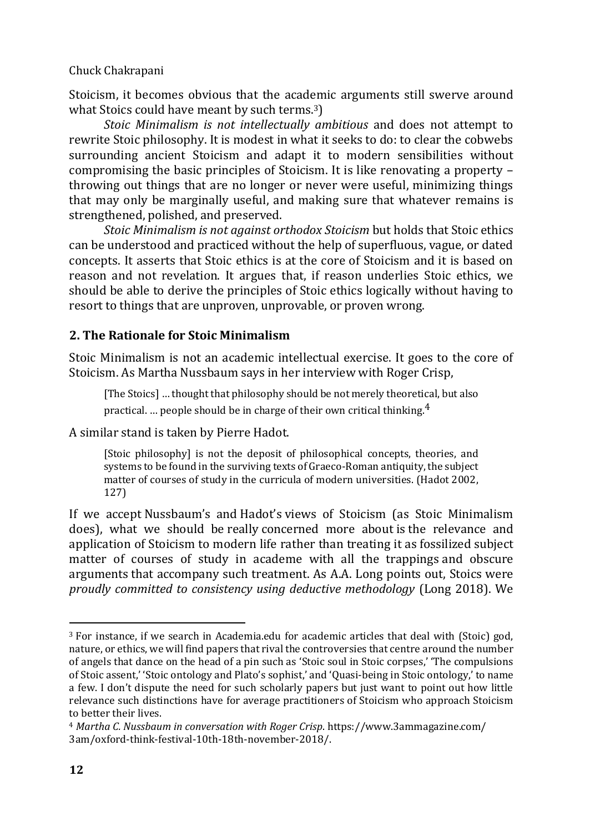Stoicism, it becomes obvious that the academic arguments still swerve around what Stoics could have meant by such terms.<sup>3</sup>)

*Stoic Minimalism is not intellectually ambitious* and does not attempt to rewrite Stoic philosophy. It is modest in what it seeks to do: to clear the cobwebs surrounding ancient Stoicism and adapt it to modern sensibilities without compromising the basic principles of Stoicism. It is like renovating a property – throwing out things that are no longer or never were useful, minimizing things that may only be marginally useful, and making sure that whatever remains is strengthened, polished, and preserved.

*Stoic Minimalism is not against orthodox Stoicism* but holds that Stoic ethics can be understood and practiced without the help of superfluous, vague, or dated concepts. It asserts that Stoic ethics is at the core of Stoicism and it is based on reason and not revelation. It argues that, if reason underlies Stoic ethics, we should be able to derive the principles of Stoic ethics logically without having to resort to things that are unproven, unprovable, or proven wrong.

# **2. The Rationale for Stoic Minimalism**

Stoic Minimalism is not an academic intellectual exercise. It goes to the core of Stoicism. As Martha Nussbaum says in her interview with Roger Crisp,

[The Stoics] … thought that philosophy should be not merely theoretical, but also practical. ... people should be in charge of their own critical thinking. $4$ 

A similar stand is taken by Pierre Hadot.

[Stoic philosophy] is not the deposit of philosophical concepts, theories, and systems to be found in the surviving texts of Graeco-Roman antiquity, the subject matter of courses of study in the curricula of modern universities. (Hadot 2002, 127)

If we accept Nussbaum's and Hadot's views of Stoicism (as Stoic Minimalism does), what we should be really concerned more about is the relevance and application of Stoicism to modern life rather than treating it as fossilized subject matter of courses of study in academe with all the trappings and obscure arguments that accompany such treatment. As A.A. Long points out, Stoics were *proudly committed to consistency using deductive methodology* (Long 2018). We

<sup>3</sup> For instance, if we search in Academia.edu for academic articles that deal with (Stoic) god, nature, or ethics, we will find papers that rival the controversies that centre around the number of angels that dance on the head of a pin such as 'Stoic soul in Stoic corpses,' 'The compulsions of Stoic assent,' 'Stoic ontology and Plato's sophist,' and 'Quasi-being in Stoic ontology,' to name a few. I don't dispute the need for such scholarly papers but just want to point out how little relevance such distinctions have for average practitioners of Stoicism who approach Stoicism to better their lives.

<sup>4</sup> *Martha C. Nussbaum in conversation with Roger Crisp*. https://www.3ammagazine.com/ 3am/oxford-think-festival-10th-18th-november-2018/.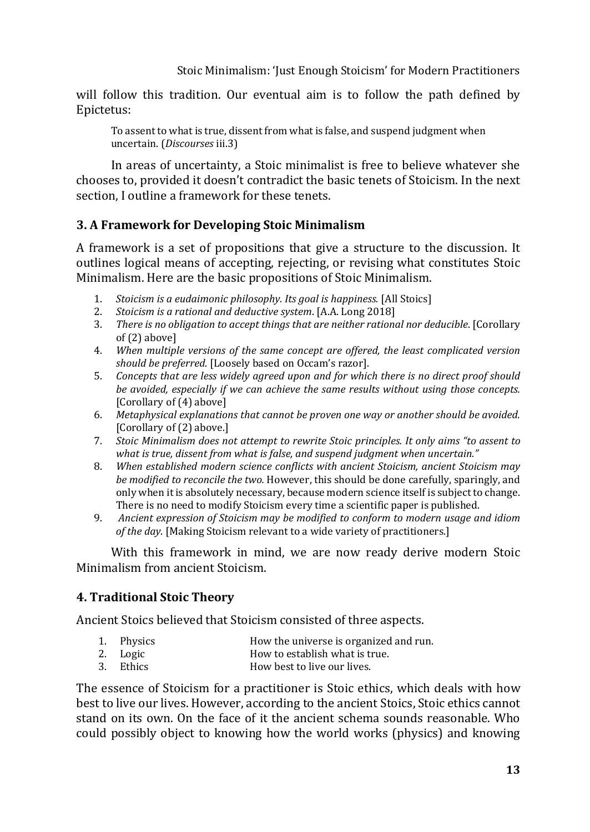will follow this tradition. Our eventual aim is to follow the path defined by Epictetus:

To assent to what is true, dissent from what is false, and suspend judgment when uncertain. (*Discourses* iii.3)

In areas of uncertainty, a Stoic minimalist is free to believe whatever she chooses to, provided it doesn't contradict the basic tenets of Stoicism. In the next section, I outline a framework for these tenets.

# **3. A Framework for Developing Stoic Minimalism**

A framework is a set of propositions that give a structure to the discussion. It outlines logical means of accepting, rejecting, or revising what constitutes Stoic Minimalism. Here are the basic propositions of Stoic Minimalism.

- 1. *Stoicism is a eudaimonic philosophy. Its goal is happiness.* [All Stoics]
- 2. *Stoicism is a rational and deductive system*. [A.A. Long 2018]
- 3. *There is no obligation to accept things that are neither rational nor deducible*. [Corollary of (2) above]
- 4. *When multiple versions of the same concept are offered, the least complicated version should be preferred*. [Loosely based on Occam's razor].
- 5. *Concepts that are less widely agreed upon and for which there is no direct proof should be avoided, especially if we can achieve the same results without using those concepts.* [Corollary of (4) above]
- 6. *Metaphysical explanations that cannot be proven one way or another should be avoided.* [Corollary of (2) above.]
- 7. *Stoic Minimalism does not attempt to rewrite Stoic principles. It only aims "to assent to what is true, dissent from what is false, and suspend judgment when uncertain."*
- 8. *When established modern science conflicts with ancient Stoicism, ancient Stoicism may be modified to reconcile the two.* However, this should be done carefully, sparingly, and only when it is absolutely necessary, because modern science itself is subject to change. There is no need to modify Stoicism every time a scientific paper is published.
- 9. *Ancient expression of Stoicism may be modified to conform to modern usage and idiom of the day*. [Making Stoicism relevant to a wide variety of practitioners.]

With this framework in mind, we are now ready derive modern Stoic Minimalism from ancient Stoicism.

# **4. Traditional Stoic Theory**

Ancient Stoics believed that Stoicism consisted of three aspects.

- 
- 1. Physics **How the universe is organized and run.**<br>2. Logic **How to establish what is true**. How to establish what is true.
- 3. Ethics How best to live our lives.

The essence of Stoicism for a practitioner is Stoic ethics, which deals with how best to live our lives. However, according to the ancient Stoics, Stoic ethics cannot stand on its own. On the face of it the ancient schema sounds reasonable. Who could possibly object to knowing how the world works (physics) and knowing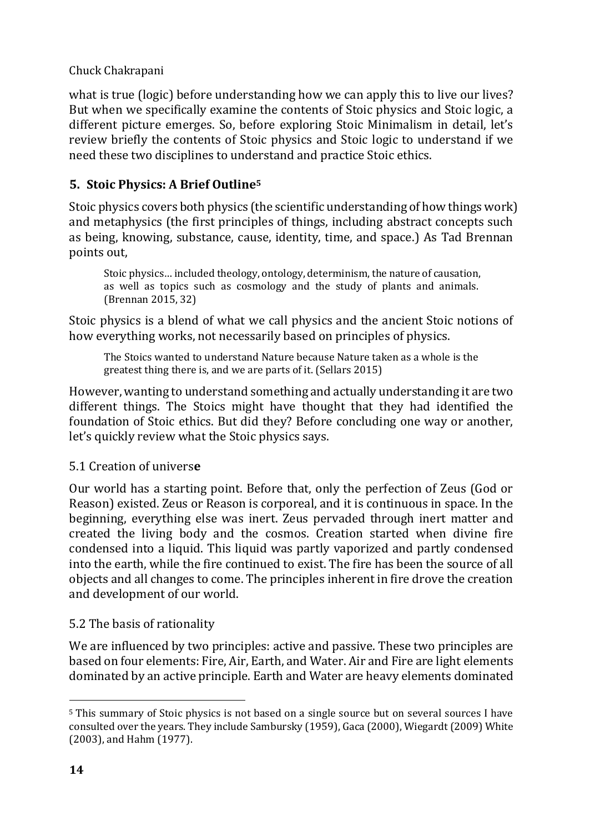what is true (logic) before understanding how we can apply this to live our lives? But when we specifically examine the contents of Stoic physics and Stoic logic, a different picture emerges. So, before exploring Stoic Minimalism in detail, let's review briefly the contents of Stoic physics and Stoic logic to understand if we need these two disciplines to understand and practice Stoic ethics.

# **5. Stoic Physics: A Brief Outline<sup>5</sup>**

Stoic physics covers both physics (the scientific understanding of how things work) and metaphysics (the first principles of things, including abstract concepts such as being, knowing, substance, cause, identity, time, and space.) As Tad Brennan points out,

Stoic physics… included theology, ontology, determinism, the nature of causation, as well as topics such as cosmology and the study of plants and animals. (Brennan 2015, 32)

Stoic physics is a blend of what we call physics and the ancient Stoic notions of how everything works, not necessarily based on principles of physics.

The Stoics wanted to understand Nature because Nature taken as a whole is the greatest thing there is, and we are parts of it. (Sellars 2015)

However, wanting to understand something and actually understanding it are two different things. The Stoics might have thought that they had identified the foundation of Stoic ethics. But did they? Before concluding one way or another, let's quickly review what the Stoic physics says.

# 5.1 Creation of univers**e**

Our world has a starting point. Before that, only the perfection of Zeus (God or Reason) existed. Zeus or Reason is corporeal, and it is continuous in space. In the beginning, everything else was inert. Zeus pervaded through inert matter and created the living body and the cosmos. Creation started when divine fire condensed into a liquid. This liquid was partly vaporized and partly condensed into the earth, while the fire continued to exist. The fire has been the source of all objects and all changes to come. The principles inherent in fire drove the creation and development of our world.

# 5.2 The basis of rationality

We are influenced by two principles: active and passive. These two principles are based on four elements: Fire, Air, Earth, and Water. Air and Fire are light elements dominated by an active principle. Earth and Water are heavy elements dominated

<sup>5</sup> This summary of Stoic physics is not based on a single source but on several sources I have consulted over the years. They include Sambursky (1959), Gaca (2000), Wiegardt (2009) White (2003), and Hahm (1977).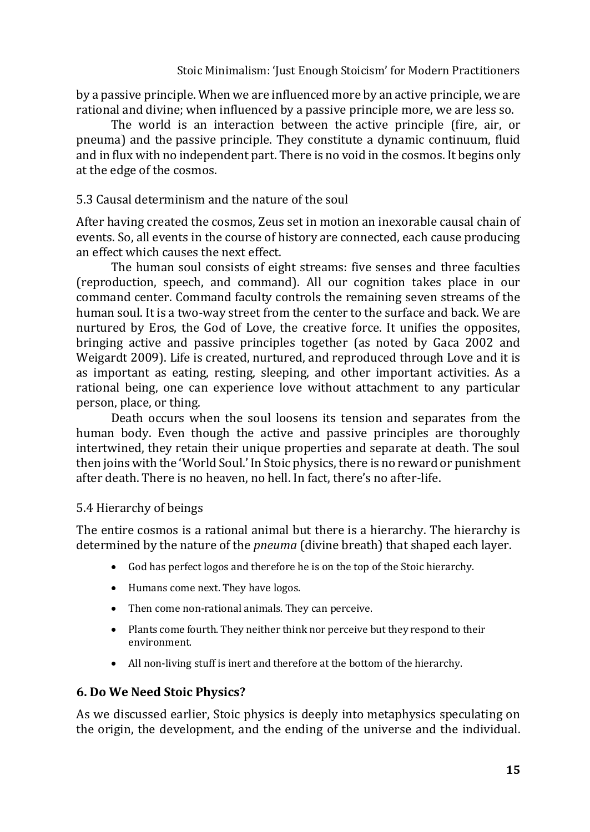by a passive principle. When we are influenced more by an active principle, we are rational and divine; when influenced by a passive principle more, we are less so.

The world is an interaction between the active principle (fire, air, or pneuma) and the passive principle. They constitute a dynamic continuum, fluid and in flux with no independent part. There is no void in the cosmos. It begins only at the edge of the cosmos.

# 5.3 Causal determinism and the nature of the soul

After having created the cosmos, Zeus set in motion an inexorable causal chain of events. So, all events in the course of history are connected, each cause producing an effect which causes the next effect.

The human soul consists of eight streams: five senses and three faculties (reproduction, speech, and command). All our cognition takes place in our command center. Command faculty controls the remaining seven streams of the human soul. It is a two-way street from the center to the surface and back. We are nurtured by Eros, the God of Love, the creative force. It unifies the opposites, bringing active and passive principles together (as noted by Gaca 2002 and Weigardt 2009). Life is created, nurtured, and reproduced through Love and it is as important as eating, resting, sleeping, and other important activities. As a rational being, one can experience love without attachment to any particular person, place, or thing.

Death occurs when the soul loosens its tension and separates from the human body. Even though the active and passive principles are thoroughly intertwined, they retain their unique properties and separate at death. The soul then joins with the 'World Soul.' In Stoic physics, there is no reward or punishment after death. There is no heaven, no hell. In fact, there's no after-life.

# 5.4 Hierarchy of beings

The entire cosmos is a rational animal but there is a hierarchy. The hierarchy is determined by the nature of the *pneuma* (divine breath) that shaped each layer.

- God has perfect logos and therefore he is on the top of the Stoic hierarchy.
- Humans come next. They have logos.
- Then come non-rational animals. They can perceive.
- Plants come fourth. They neither think nor perceive but they respond to their environment.
- All non-living stuff is inert and therefore at the bottom of the hierarchy.

# **6. Do We Need Stoic Physics?**

As we discussed earlier, Stoic physics is deeply into metaphysics speculating on the origin, the development, and the ending of the universe and the individual.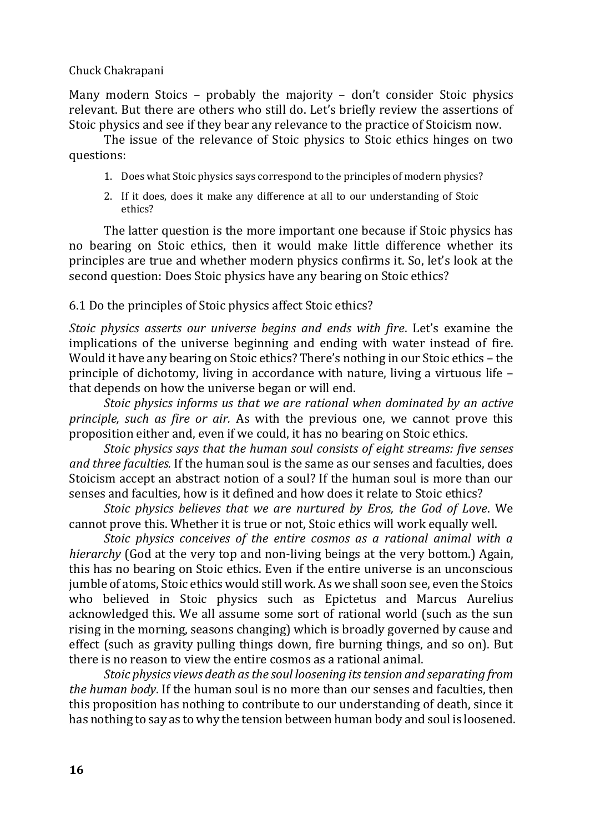Many modern Stoics – probably the majority – don't consider Stoic physics relevant. But there are others who still do. Let's briefly review the assertions of Stoic physics and see if they bear any relevance to the practice of Stoicism now.

The issue of the relevance of Stoic physics to Stoic ethics hinges on two questions:

- 1. Does what Stoic physics says correspond to the principles of modern physics?
- 2. If it does, does it make any difference at all to our understanding of Stoic ethics?

The latter question is the more important one because if Stoic physics has no bearing on Stoic ethics, then it would make little difference whether its principles are true and whether modern physics confirms it. So, let's look at the second question: Does Stoic physics have any bearing on Stoic ethics?

# 6.1 Do the principles of Stoic physics affect Stoic ethics?

*Stoic physics asserts our universe begins and ends with fire*. Let's examine the implications of the universe beginning and ending with water instead of fire. Would it have any bearing on Stoic ethics? There's nothing in our Stoic ethics – the principle of dichotomy, living in accordance with nature, living a virtuous life – that depends on how the universe began or will end.

*Stoic physics informs us that we are rational when dominated by an active principle, such as fire or air.* As with the previous one, we cannot prove this proposition either and, even if we could, it has no bearing on Stoic ethics.

*Stoic physics says that the human soul consists of eight streams: five senses and three faculties.* If the human soul is the same as our senses and faculties, does Stoicism accept an abstract notion of a soul? If the human soul is more than our senses and faculties, how is it defined and how does it relate to Stoic ethics?

*Stoic physics believes that we are nurtured by Eros, the God of Love*. We cannot prove this. Whether it is true or not, Stoic ethics will work equally well.

*Stoic physics conceives of the entire cosmos as a rational animal with a hierarchy* (God at the very top and non-living beings at the very bottom.) Again, this has no bearing on Stoic ethics. Even if the entire universe is an unconscious jumble of atoms, Stoic ethics would still work. As we shall soon see, even the Stoics who believed in Stoic physics such as Epictetus and Marcus Aurelius acknowledged this. We all assume some sort of rational world (such as the sun rising in the morning, seasons changing) which is broadly governed by cause and effect (such as gravity pulling things down, fire burning things, and so on). But there is no reason to view the entire cosmos as a rational animal.

*Stoic physics views death as the soul loosening its tension and separating from the human body*. If the human soul is no more than our senses and faculties, then this proposition has nothing to contribute to our understanding of death, since it has nothing to say as to why the tension between human body and soul is loosened.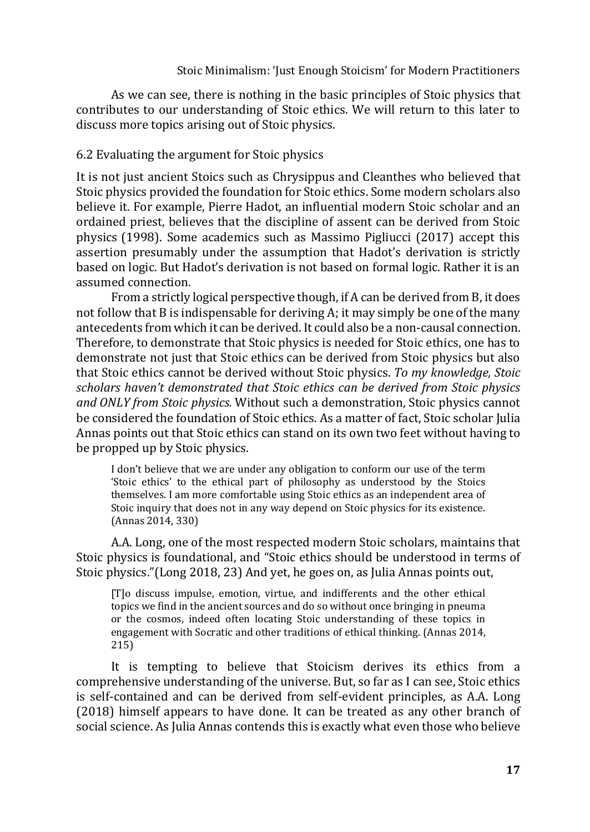As we can see, there is nothing in the basic principles of Stoic physics that contributes to our understanding of Stoic ethics. We will return to this later to discuss more topics arising out of Stoic physics.

### 6.2 Evaluating the argument for Stoic physics

It is not just ancient Stoics such as Chrysippus and Cleanthes who believed that Stoic physics provided the foundation for Stoic ethics. Some modern scholars also believe it. For example, Pierre Hadot, an influential modern Stoic scholar and an ordained priest, believes that the discipline of assent can be derived from Stoic physics (1998). Some academics such as Massimo Pigliucci (2017) accept this assertion presumably under the assumption that Hadot's derivation is strictly based on logic. But Hadot's derivation is not based on formal logic. Rather it is an assumed connection.

From a strictly logical perspective though, if A can be derived from B, it does not follow that B is indispensable for deriving A; it may simply be one of the many antecedents from which it can be derived. It could also be a non-causal connection. Therefore, to demonstrate that Stoic physics is needed for Stoic ethics, one has to demonstrate not just that Stoic ethics can be derived from Stoic physics but also that Stoic ethics cannot be derived without Stoic physics. *To my knowledge, Stoic scholars haven't demonstrated that Stoic ethics can be derived from Stoic physics and ONLY from Stoic physics.* Without such a demonstration, Stoic physics cannot be considered the foundation of Stoic ethics. As a matter of fact, Stoic scholar Julia Annas points out that Stoic ethics can stand on its own two feet without having to be propped up by Stoic physics.

I don't believe that we are under any obligation to conform our use of the term 'Stoic ethics' to the ethical part of philosophy as understood by the Stoics themselves. I am more comfortable using Stoic ethics as an independent area of Stoic inquiry that does not in any way depend on Stoic physics for its existence. (Annas 2014, 330)

A.A. Long, one of the most respected modern Stoic scholars, maintains that Stoic physics is foundational, and "Stoic ethics should be understood in terms of Stoic physics."(Long 2018, 23) And yet, he goes on, as Julia Annas points out,

[T]o discuss impulse, emotion, virtue, and indifferents and the other ethical topics we find in the ancient sources and do so without once bringing in pneuma or the cosmos, indeed often locating Stoic understanding of these topics in engagement with Socratic and other traditions of ethical thinking. (Annas 2014, 215)

It is tempting to believe that Stoicism derives its ethics from a comprehensive understanding of the universe. But, so far as I can see, Stoic ethics is self-contained and can be derived from self-evident principles, as A.A. Long (2018) himself appears to have done. It can be treated as any other branch of social science. As Julia Annas contends this is exactly what even those who believe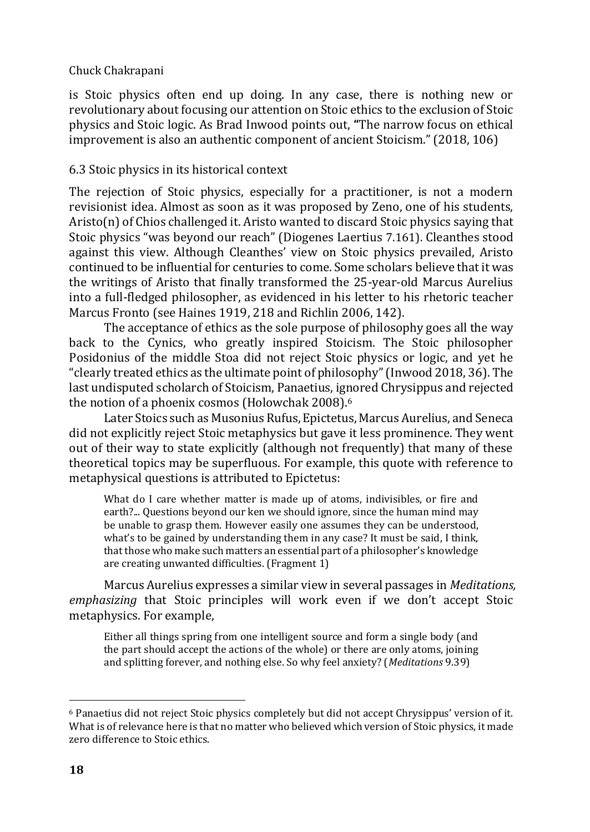is Stoic physics often end up doing. In any case, there is nothing new or revolutionary about focusing our attention on Stoic ethics to the exclusion of Stoic physics and Stoic logic. As Brad Inwood points out, **"**The narrow focus on ethical improvement is also an authentic component of ancient Stoicism." (2018, 106)

### 6.3 Stoic physics in its historical context

The rejection of Stoic physics, especially for a practitioner, is not a modern revisionist idea. Almost as soon as it was proposed by Zeno, one of his students, Aristo(n) of Chios challenged it. Aristo wanted to discard Stoic physics saying that Stoic physics "was beyond our reach" (Diogenes Laertius 7.161). Cleanthes stood against this view. Although Cleanthes' view on Stoic physics prevailed, Aristo continued to be influential for centuries to come. Some scholars believe that it was the writings of Aristo that finally transformed the 25-year-old Marcus Aurelius into a full-fledged philosopher, as evidenced in his letter to his rhetoric teacher Marcus Fronto (see Haines 1919, 218 and Richlin 2006, 142).

The acceptance of ethics as the sole purpose of philosophy goes all the way back to the Cynics, who greatly inspired Stoicism. The Stoic philosopher Posidonius of the middle Stoa did not reject Stoic physics or logic, and yet he "clearly treated ethics as the ultimate point of philosophy" (Inwood 2018, 36). The last undisputed scholarch of Stoicism, Panaetius, ignored Chrysippus and rejected the notion of a phoenix cosmos (Holowchak 2008).<sup>6</sup>

Later Stoics such as Musonius Rufus, Epictetus, Marcus Aurelius, and Seneca did not explicitly reject Stoic metaphysics but gave it less prominence. They went out of their way to state explicitly (although not frequently) that many of these theoretical topics may be superfluous. For example, this quote with reference to metaphysical questions is attributed to Epictetus:

What do I care whether matter is made up of atoms, indivisibles, or fire and earth?... Questions beyond our ken we should ignore, since the human mind may be unable to grasp them. However easily one assumes they can be understood, what's to be gained by understanding them in any case? It must be said, I think, that those who make such matters an essential part of a philosopher's knowledge are creating unwanted difficulties. (Fragment 1)

Marcus Aurelius expresses a similar view in several passages in *Meditations, emphasizing* that Stoic principles will work even if we don't accept Stoic metaphysics. For example,

Either all things spring from one intelligent source and form a single body (and the part should accept the actions of the whole) or there are only atoms, joining and splitting forever, and nothing else. So why feel anxiety? (*Meditations* 9.39)

<sup>6</sup> Panaetius did not reject Stoic physics completely but did not accept Chrysippus' version of it. What is of relevance here is that no matter who believed which version of Stoic physics, it made zero difference to Stoic ethics.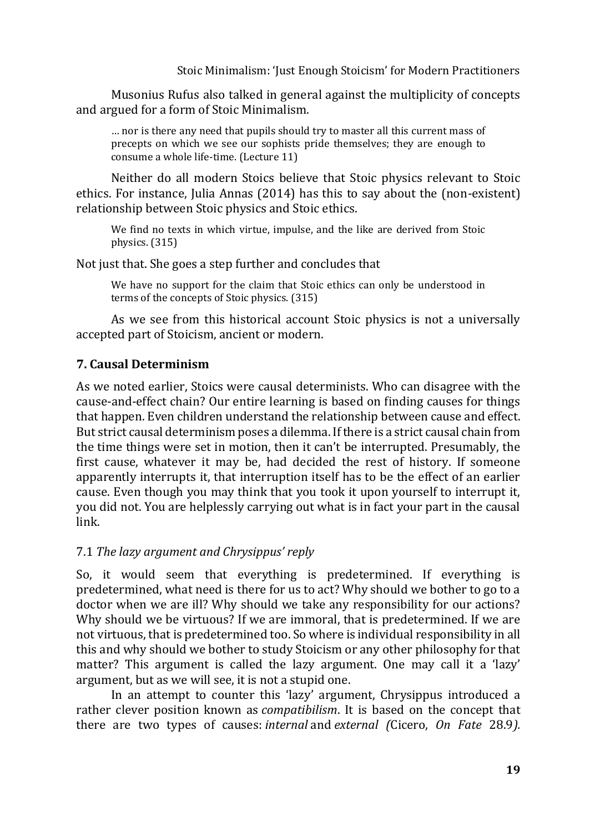Musonius Rufus also talked in general against the multiplicity of concepts and argued for a form of Stoic Minimalism.

… nor is there any need that pupils should try to master all this current mass of precepts on which we see our sophists pride themselves; they are enough to consume a whole life-time. (Lecture 11)

Neither do all modern Stoics believe that Stoic physics relevant to Stoic ethics. For instance, Julia Annas (2014) has this to say about the (non-existent) relationship between Stoic physics and Stoic ethics.

We find no texts in which virtue, impulse, and the like are derived from Stoic physics. (315)

Not just that. She goes a step further and concludes that

We have no support for the claim that Stoic ethics can only be understood in terms of the concepts of Stoic physics. (315)

As we see from this historical account Stoic physics is not a universally accepted part of Stoicism, ancient or modern.

# **7. Causal Determinism**

As we noted earlier, Stoics were causal determinists. Who can disagree with the cause-and-effect chain? Our entire learning is based on finding causes for things that happen. Even children understand the relationship between cause and effect. But strict causal determinism poses a dilemma. If there is a strict causal chain from the time things were set in motion, then it can't be interrupted. Presumably, the first cause, whatever it may be, had decided the rest of history. If someone apparently interrupts it, that interruption itself has to be the effect of an earlier cause. Even though you may think that you took it upon yourself to interrupt it, you did not. You are helplessly carrying out what is in fact your part in the causal link.

# 7.1 *The lazy argument and Chrysippus' reply*

So, it would seem that everything is predetermined. If everything is predetermined, what need is there for us to act? Why should we bother to go to a doctor when we are ill? Why should we take any responsibility for our actions? Why should we be virtuous? If we are immoral, that is predetermined. If we are not virtuous, that is predetermined too. So where is individual responsibility in all this and why should we bother to study Stoicism or any other philosophy for that matter? This argument is called the lazy argument. One may call it a 'lazy' argument, but as we will see, it is not a stupid one.

In an attempt to counter this 'lazy' argument, Chrysippus introduced a rather clever position known as *compatibilism*. It is based on the concept that there are two types of causes: *internal* and *external (*Cicero, *On Fate* 28.9*).*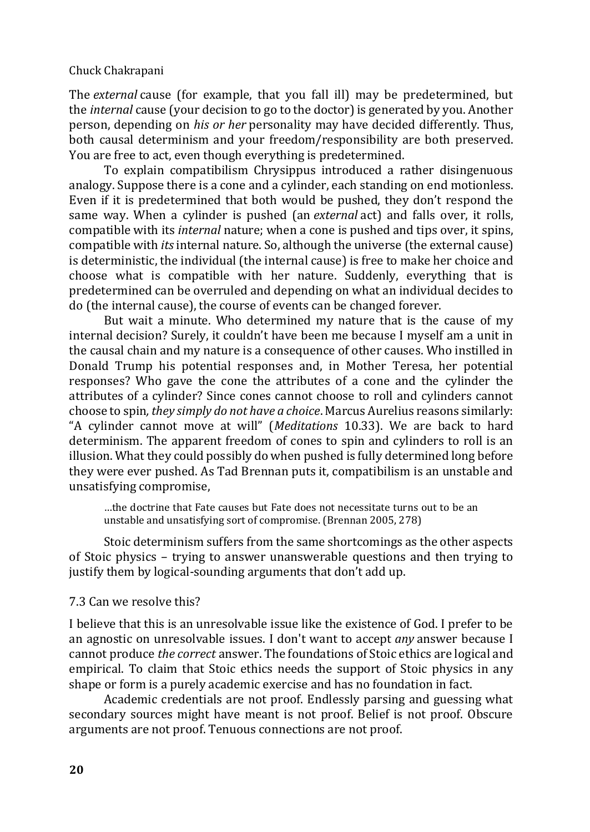The *external* cause (for example, that you fall ill) may be predetermined, but the *internal* cause (your decision to go to the doctor) is generated by you. Another person, depending on *his or her* personality may have decided differently. Thus, both causal determinism and your freedom/responsibility are both preserved. You are free to act, even though everything is predetermined.

To explain compatibilism Chrysippus introduced a rather disingenuous analogy. Suppose there is a cone and a cylinder, each standing on end motionless. Even if it is predetermined that both would be pushed, they don't respond the same way. When a cylinder is pushed (an *external* act) and falls over, it rolls, compatible with its *internal* nature; when a cone is pushed and tips over, it spins, compatible with *its* internal nature. So, although the universe (the external cause) is deterministic, the individual (the internal cause) is free to make her choice and choose what is compatible with her nature. Suddenly, everything that is predetermined can be overruled and depending on what an individual decides to do (the internal cause), the course of events can be changed forever.

But wait a minute. Who determined my nature that is the cause of my internal decision? Surely, it couldn't have been me because I myself am a unit in the causal chain and my nature is a consequence of other causes. Who instilled in Donald Trump his potential responses and, in Mother Teresa, her potential responses? Who gave the cone the attributes of a cone and the cylinder the attributes of a cylinder? Since cones cannot choose to roll and cylinders cannot choose to spin*, they simply do not have a choice*. Marcus Aurelius reasons similarly: "A cylinder cannot move at will" (*Meditations* 10.33). We are back to hard determinism. The apparent freedom of cones to spin and cylinders to roll is an illusion. What they could possibly do when pushed is fully determined long before they were ever pushed. As Tad Brennan puts it, compatibilism is an unstable and unsatisfying compromise,

…the doctrine that Fate causes but Fate does not necessitate turns out to be an unstable and unsatisfying sort of compromise. (Brennan 2005, 278)

Stoic determinism suffers from the same shortcomings as the other aspects of Stoic physics – trying to answer unanswerable questions and then trying to justify them by logical-sounding arguments that don't add up.

#### 7.3 Can we resolve this?

I believe that this is an unresolvable issue like the existence of God. I prefer to be an agnostic on unresolvable issues. I don't want to accept *any* answer because I cannot produce *the correct* answer. The foundations of Stoic ethics are logical and empirical. To claim that Stoic ethics needs the support of Stoic physics in any shape or form is a purely academic exercise and has no foundation in fact.

Academic credentials are not proof. Endlessly parsing and guessing what secondary sources might have meant is not proof. Belief is not proof. Obscure arguments are not proof. Tenuous connections are not proof.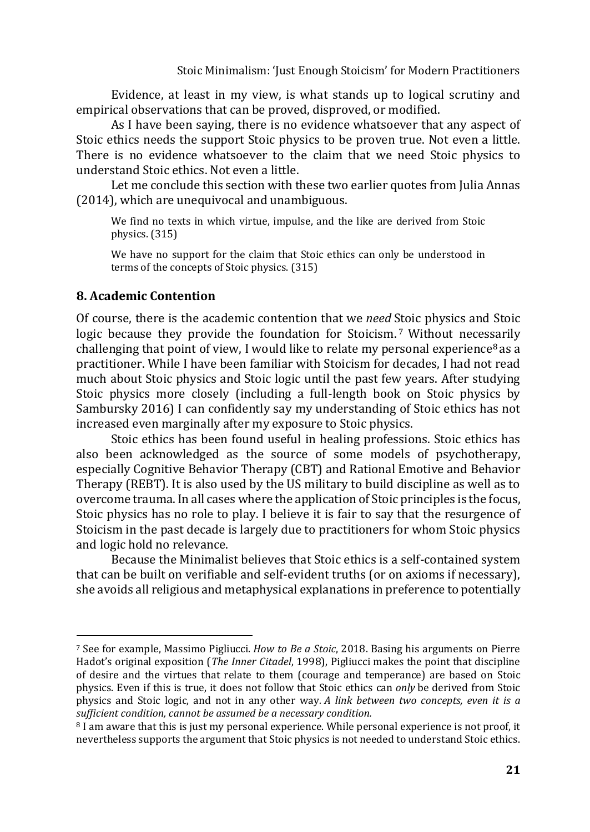Evidence, at least in my view, is what stands up to logical scrutiny and empirical observations that can be proved, disproved, or modified.

As I have been saying, there is no evidence whatsoever that any aspect of Stoic ethics needs the support Stoic physics to be proven true. Not even a little. There is no evidence whatsoever to the claim that we need Stoic physics to understand Stoic ethics. Not even a little.

Let me conclude this section with these two earlier quotes from Julia Annas (2014), which are unequivocal and unambiguous.

We find no texts in which virtue, impulse, and the like are derived from Stoic physics. (315)

We have no support for the claim that Stoic ethics can only be understood in terms of the concepts of Stoic physics. (315)

#### **8. Academic Contention**

Of course, there is the academic contention that we *need* Stoic physics and Stoic logic because they provide the foundation for Stoicism.<sup>7</sup> Without necessarily challenging that point of view, I would like to relate my personal experience<sup>8</sup> as a practitioner. While I have been familiar with Stoicism for decades, I had not read much about Stoic physics and Stoic logic until the past few years. After studying Stoic physics more closely (including a full-length book on Stoic physics by Sambursky 2016) I can confidently say my understanding of Stoic ethics has not increased even marginally after my exposure to Stoic physics.

Stoic ethics has been found useful in healing professions. Stoic ethics has also been acknowledged as the source of some models of psychotherapy, especially Cognitive Behavior Therapy (CBT) and Rational Emotive and Behavior Therapy (REBT). It is also used by the US military to build discipline as well as to overcome trauma. In all cases where the application of Stoic principles is the focus, Stoic physics has no role to play. I believe it is fair to say that the resurgence of Stoicism in the past decade is largely due to practitioners for whom Stoic physics and logic hold no relevance.

Because the Minimalist believes that Stoic ethics is a self-contained system that can be built on verifiable and self-evident truths (or on axioms if necessary), she avoids all religious and metaphysical explanations in preference to potentially

<sup>7</sup> See for example, Massimo Pigliucci. *How to Be a Stoic*, 2018. Basing his arguments on Pierre Hadot's original exposition (*The Inner Citadel*, 1998), Pigliucci makes the point that discipline of desire and the virtues that relate to them (courage and temperance) are based on Stoic physics. Even if this is true, it does not follow that Stoic ethics can *only* be derived from Stoic physics and Stoic logic, and not in any other way*. A link between two concepts, even it is a sufficient condition, cannot be assumed be a necessary condition.*

<sup>8</sup> I am aware that this is just my personal experience. While personal experience is not proof, it nevertheless supports the argument that Stoic physics is not needed to understand Stoic ethics.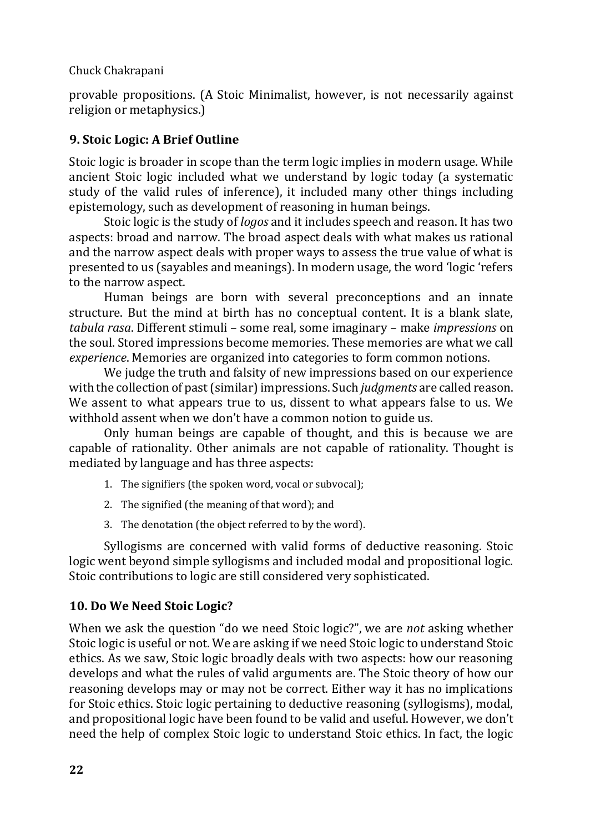provable propositions. (A Stoic Minimalist, however, is not necessarily against religion or metaphysics.)

# **9. Stoic Logic: A Brief Outline**

Stoic logic is broader in scope than the term logic implies in modern usage. While ancient Stoic logic included what we understand by logic today (a systematic study of the valid rules of inference), it included many other things including epistemology, such as development of reasoning in human beings.

Stoic logic is the study of *logos* and it includes speech and reason. It has two aspects: broad and narrow. The broad aspect deals with what makes us rational and the narrow aspect deals with proper ways to assess the true value of what is presented to us (sayables and meanings). In modern usage, the word 'logic 'refers to the narrow aspect.

Human beings are born with several preconceptions and an innate structure. But the mind at birth has no conceptual content. It is a blank slate, *tabula rasa*. Different stimuli – some real, some imaginary – make *impressions* on the soul. Stored impressions become memories. These memories are what we call *experience*. Memories are organized into categories to form common notions.

We judge the truth and falsity of new impressions based on our experience with the collection of past(similar) impressions. Such *judgments* are called reason. We assent to what appears true to us, dissent to what appears false to us. We withhold assent when we don't have a common notion to guide us.

Only human beings are capable of thought, and this is because we are capable of rationality. Other animals are not capable of rationality. Thought is mediated by language and has three aspects:

- 1. The signifiers (the spoken word, vocal or subvocal);
- 2. The signified (the meaning of that word); and
- 3. The denotation (the object referred to by the word).

Syllogisms are concerned with valid forms of deductive reasoning. Stoic logic went beyond simple syllogisms and included modal and propositional logic. Stoic contributions to logic are still considered very sophisticated.

# **10. Do We Need Stoic Logic?**

When we ask the question "do we need Stoic logic?", we are *not* asking whether Stoic logic is useful or not. We are asking if we need Stoic logic to understand Stoic ethics. As we saw, Stoic logic broadly deals with two aspects: how our reasoning develops and what the rules of valid arguments are. The Stoic theory of how our reasoning develops may or may not be correct. Either way it has no implications for Stoic ethics. Stoic logic pertaining to deductive reasoning (syllogisms), modal, and propositional logic have been found to be valid and useful. However, we don't need the help of complex Stoic logic to understand Stoic ethics. In fact, the logic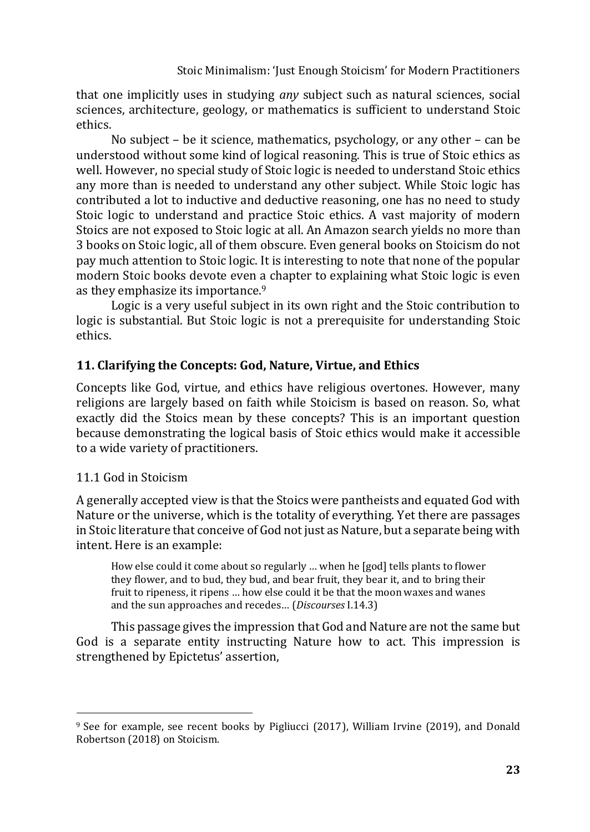that one implicitly uses in studying *any* subject such as natural sciences, social sciences, architecture, geology, or mathematics is sufficient to understand Stoic ethics.

No subject – be it science, mathematics, psychology, or any other – can be understood without some kind of logical reasoning. This is true of Stoic ethics as well. However, no special study of Stoic logic is needed to understand Stoic ethics any more than is needed to understand any other subject. While Stoic logic has contributed a lot to inductive and deductive reasoning, one has no need to study Stoic logic to understand and practice Stoic ethics. A vast majority of modern Stoics are not exposed to Stoic logic at all. An Amazon search yields no more than 3 books on Stoic logic, all of them obscure. Even general books on Stoicism do not pay much attention to Stoic logic. It is interesting to note that none of the popular modern Stoic books devote even a chapter to explaining what Stoic logic is even as they emphasize its importance.<sup>9</sup>

Logic is a very useful subject in its own right and the Stoic contribution to logic is substantial. But Stoic logic is not a prerequisite for understanding Stoic ethics.

# **11. Clarifying the Concepts: God, Nature, Virtue, and Ethics**

Concepts like God, virtue, and ethics have religious overtones. However, many religions are largely based on faith while Stoicism is based on reason. So, what exactly did the Stoics mean by these concepts? This is an important question because demonstrating the logical basis of Stoic ethics would make it accessible to a wide variety of practitioners.

# 11.1 God in Stoicism

A generally accepted view is that the Stoics were pantheists and equated God with Nature or the universe, which is the totality of everything. Yet there are passages in Stoic literature that conceive of God not just as Nature, but a separate being with intent. Here is an example:

How else could it come about so regularly … when he [god] tells plants to flower they flower, and to bud, they bud, and bear fruit, they bear it, and to bring their fruit to ripeness, it ripens … how else could it be that the moon waxes and wanes and the sun approaches and recedes… (*Discourses* I.14.3)

This passage gives the impression that God and Nature are not the same but God is a separate entity instructing Nature how to act. This impression is strengthened by Epictetus' assertion,

<sup>9</sup> See for example, see recent books by Pigliucci (2017), William Irvine (2019), and Donald Robertson (2018) on Stoicism.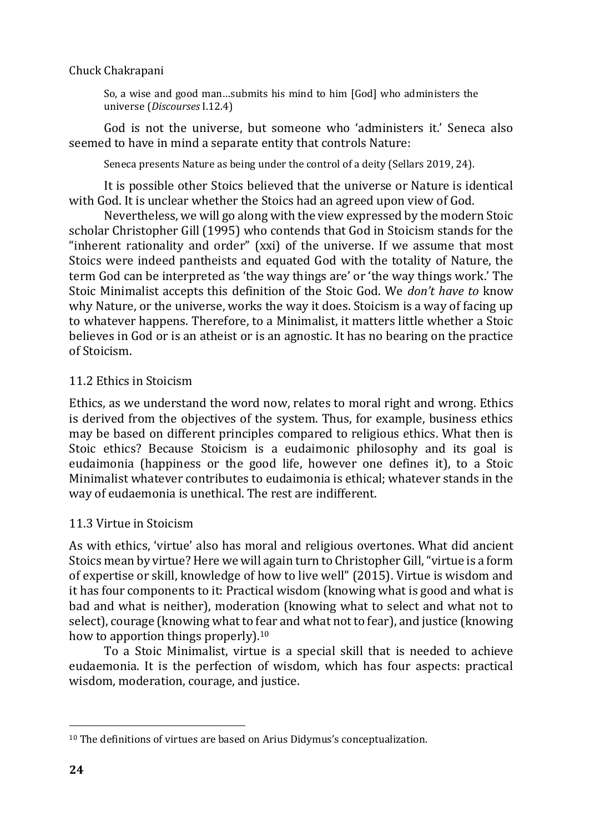So, a wise and good man…submits his mind to him [God] who administers the universe (*Discourses* I.12.4)

God is not the universe, but someone who 'administers it.' Seneca also seemed to have in mind a separate entity that controls Nature:

Seneca presents Nature as being under the control of a deity (Sellars 2019, 24).

It is possible other Stoics believed that the universe or Nature is identical with God. It is unclear whether the Stoics had an agreed upon view of God.

Nevertheless, we will go along with the view expressed by the modern Stoic scholar Christopher Gill (1995) who contends that God in Stoicism stands for the "inherent rationality and order" (xxi) of the universe. If we assume that most Stoics were indeed pantheists and equated God with the totality of Nature, the term God can be interpreted as 'the way things are' or 'the way things work.' The Stoic Minimalist accepts this definition of the Stoic God. We *don't have to* know why Nature, or the universe, works the way it does. Stoicism is a way of facing up to whatever happens. Therefore, to a Minimalist, it matters little whether a Stoic believes in God or is an atheist or is an agnostic. It has no bearing on the practice of Stoicism.

# 11.2 Ethics in Stoicism

Ethics, as we understand the word now, relates to moral right and wrong. Ethics is derived from the objectives of the system. Thus, for example, business ethics may be based on different principles compared to religious ethics. What then is Stoic ethics? Because Stoicism is a eudaimonic philosophy and its goal is eudaimonia (happiness or the good life, however one defines it), to a Stoic Minimalist whatever contributes to eudaimonia is ethical; whatever stands in the way of eudaemonia is unethical. The rest are indifferent.

# 11.3 Virtue in Stoicism

As with ethics, 'virtue' also has moral and religious overtones. What did ancient Stoics mean by virtue? Here we will again turn to Christopher Gill, "virtue is a form of expertise or skill, knowledge of how to live well" (2015). Virtue is wisdom and it has four components to it: Practical wisdom (knowing what is good and what is bad and what is neither), moderation (knowing what to select and what not to select), courage (knowing what to fear and what not to fear), and justice (knowing how to apportion things properly).<sup>10</sup>

To a Stoic Minimalist, virtue is a special skill that is needed to achieve eudaemonia. It is the perfection of wisdom, which has four aspects: practical wisdom, moderation, courage, and justice.

<sup>10</sup> The definitions of virtues are based on Arius Didymus's conceptualization.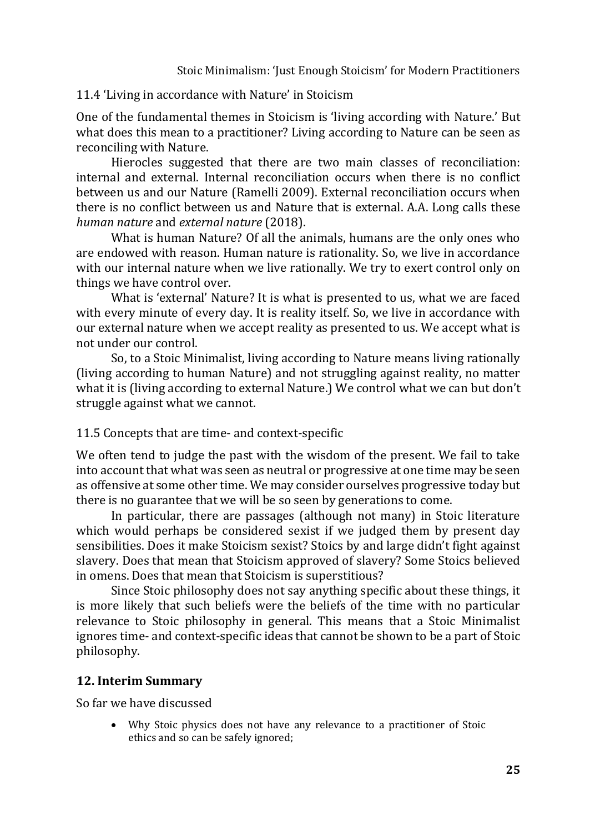# 11.4 'Living in accordance with Nature' in Stoicism

One of the fundamental themes in Stoicism is 'living according with Nature.' But what does this mean to a practitioner? Living according to Nature can be seen as reconciling with Nature.

Hierocles suggested that there are two main classes of reconciliation: internal and external. Internal reconciliation occurs when there is no conflict between us and our Nature (Ramelli 2009). External reconciliation occurs when there is no conflict between us and Nature that is external. A.A. Long calls these *human nature* and *external nature* (2018).

What is human Nature? Of all the animals, humans are the only ones who are endowed with reason. Human nature is rationality. So, we live in accordance with our internal nature when we live rationally. We try to exert control only on things we have control over.

What is 'external' Nature? It is what is presented to us, what we are faced with every minute of every day. It is reality itself. So, we live in accordance with our external nature when we accept reality as presented to us. We accept what is not under our control.

So, to a Stoic Minimalist, living according to Nature means living rationally (living according to human Nature) and not struggling against reality, no matter what it is (living according to external Nature.) We control what we can but don't struggle against what we cannot.

# 11.5 Concepts that are time- and context-specific

We often tend to judge the past with the wisdom of the present. We fail to take into account that what was seen as neutral or progressive at one time may be seen as offensive at some other time. We may consider ourselves progressive today but there is no guarantee that we will be so seen by generations to come.

In particular, there are passages (although not many) in Stoic literature which would perhaps be considered sexist if we judged them by present day sensibilities. Does it make Stoicism sexist? Stoics by and large didn't fight against slavery. Does that mean that Stoicism approved of slavery? Some Stoics believed in omens. Does that mean that Stoicism is superstitious?

Since Stoic philosophy does not say anything specific about these things, it is more likely that such beliefs were the beliefs of the time with no particular relevance to Stoic philosophy in general. This means that a Stoic Minimalist ignores time- and context-specific ideas that cannot be shown to be a part of Stoic philosophy.

# **12. Interim Summary**

So far we have discussed

• Why Stoic physics does not have any relevance to a practitioner of Stoic ethics and so can be safely ignored;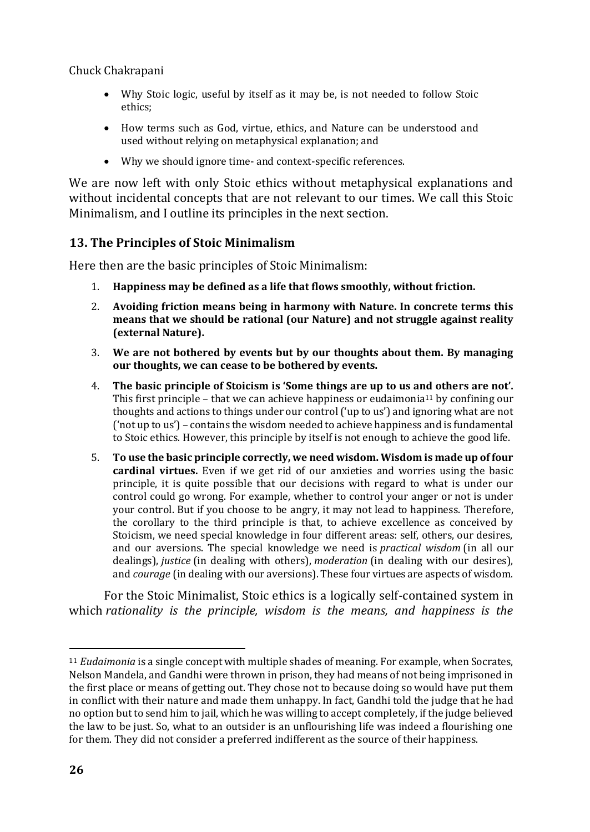- Why Stoic logic, useful by itself as it may be, is not needed to follow Stoic ethics;
- How terms such as God, virtue, ethics, and Nature can be understood and used without relying on metaphysical explanation; and
- Why we should ignore time- and context-specific references.

We are now left with only Stoic ethics without metaphysical explanations and without incidental concepts that are not relevant to our times. We call this Stoic Minimalism, and I outline its principles in the next section.

# **13. The Principles of Stoic Minimalism**

Here then are the basic principles of Stoic Minimalism:

- 1. **Happiness may be defined as a life that flows smoothly, without friction.**
- 2. **Avoiding friction means being in harmony with Nature. In concrete terms this means that we should be rational (our Nature) and not struggle against reality (external Nature).**
- 3. **We are not bothered by events but by our thoughts about them. By managing our thoughts, we can cease to be bothered by events.**
- 4. **The basic principle of Stoicism is 'Some things are up to us and others are not'.** This first principle – that we can achieve happiness or eudaimonia<sup>11</sup> by confining our thoughts and actions to things under our control ('up to us') and ignoring what are not ('not up to us') – contains the wisdom needed to achieve happiness and is fundamental to Stoic ethics. However, this principle by itself is not enough to achieve the good life.
- 5. **To use the basic principle correctly, we need wisdom. Wisdom is made up of four cardinal virtues.** Even if we get rid of our anxieties and worries using the basic principle, it is quite possible that our decisions with regard to what is under our control could go wrong. For example, whether to control your anger or not is under your control. But if you choose to be angry, it may not lead to happiness. Therefore, the corollary to the third principle is that, to achieve excellence as conceived by Stoicism, we need special knowledge in four different areas: self, others, our desires, and our aversions. The special knowledge we need is *practical wisdom* (in all our dealings), *justice* (in dealing with others), *moderation* (in dealing with our desires), and *courage* (in dealing with our aversions). These four virtues are aspects of wisdom.

For the Stoic Minimalist, Stoic ethics is a logically self-contained system in which *rationality is the principle, wisdom is the means, and happiness is the* 

<sup>11</sup> *Eudaimonia* is a single concept with multiple shades of meaning. For example, when Socrates, Nelson Mandela, and Gandhi were thrown in prison, they had means of not being imprisoned in the first place or means of getting out. They chose not to because doing so would have put them in conflict with their nature and made them unhappy. In fact, Gandhi told the judge that he had no option but to send him to jail, which he was willing to accept completely, if the judge believed the law to be just. So, what to an outsider is an unflourishing life was indeed a flourishing one for them. They did not consider a preferred indifferent as the source of their happiness.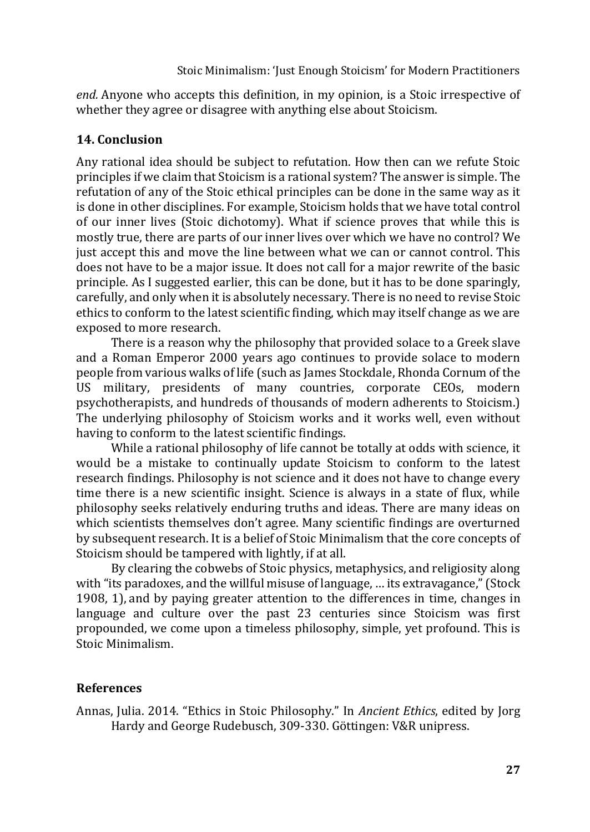*end.* Anyone who accepts this definition, in my opinion, is a Stoic irrespective of whether they agree or disagree with anything else about Stoicism.

# **14. Conclusion**

Any rational idea should be subject to refutation. How then can we refute Stoic principles if we claim that Stoicism is a rational system? The answer is simple. The refutation of any of the Stoic ethical principles can be done in the same way as it is done in other disciplines. For example, Stoicism holds that we have total control of our inner lives (Stoic dichotomy). What if science proves that while this is mostly true, there are parts of our inner lives over which we have no control? We just accept this and move the line between what we can or cannot control. This does not have to be a major issue. It does not call for a major rewrite of the basic principle. As I suggested earlier, this can be done, but it has to be done sparingly, carefully, and only when it is absolutely necessary. There is no need to revise Stoic ethics to conform to the latest scientific finding, which may itself change as we are exposed to more research.

There is a reason why the philosophy that provided solace to a Greek slave and a Roman Emperor 2000 years ago continues to provide solace to modern people from various walks of life (such as James Stockdale, Rhonda Cornum of the US military, presidents of many countries, corporate CEOs, modern psychotherapists, and hundreds of thousands of modern adherents to Stoicism.) The underlying philosophy of Stoicism works and it works well, even without having to conform to the latest scientific findings.

While a rational philosophy of life cannot be totally at odds with science, it would be a mistake to continually update Stoicism to conform to the latest research findings. Philosophy is not science and it does not have to change every time there is a new scientific insight. Science is always in a state of flux, while philosophy seeks relatively enduring truths and ideas. There are many ideas on which scientists themselves don't agree. Many scientific findings are overturned by subsequent research. It is a belief of Stoic Minimalism that the core concepts of Stoicism should be tampered with lightly, if at all.

By clearing the cobwebs of Stoic physics, metaphysics, and religiosity along with "its paradoxes, and the willful misuse of language, … its extravagance," (Stock 1908, 1), and by paying greater attention to the differences in time, changes in language and culture over the past 23 centuries since Stoicism was first propounded, we come upon a timeless philosophy, simple, yet profound. This is Stoic Minimalism.

# **References**

Annas, Julia. 2014. "Ethics in Stoic Philosophy." In *Ancient Ethics*, edited by Jorg Hardy and George Rudebusch, 309-330. Göttingen: V&R unipress.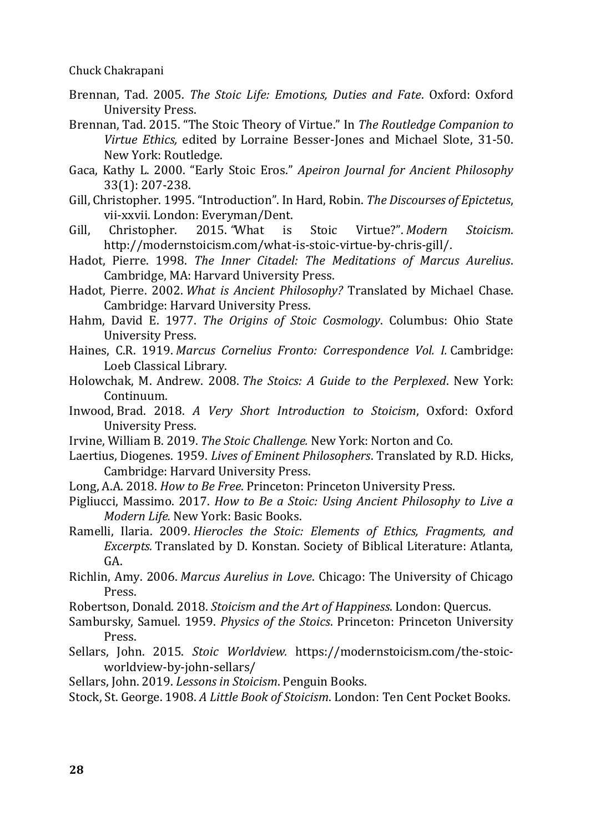- Brennan, Tad. 2005. *The Stoic Life: Emotions, Duties and Fate*. Oxford: Oxford University Press.
- Brennan, Tad. 2015. "The Stoic Theory of Virtue." In *The Routledge Companion to Virtue Ethics,* edited by Lorraine Besser-Jones and Michael Slote, 31-50. New York: Routledge.
- Gaca, Kathy L. 2000. "Early Stoic Eros." *Apeiron Journal for Ancient Philosophy* 33(1): 207-238.
- Gill, Christopher. 1995. "Introduction". In Hard, Robin. *The Discourses of Epictetus*, vii-xxvii. London: Everyman/Dent.
- Gill, Christopher. 2015. *"*What is Stoic Virtue?". *Modern Stoicism*. http://modernstoicism.com/what-is-stoic-virtue-by-chris-gill/.
- Hadot, Pierre. 1998. *The Inner Citadel: The Meditations of Marcus Aurelius*. Cambridge, MA: Harvard University Press.
- Hadot, Pierre. 2002. *What is Ancient Philosophy?* Translated by Michael Chase. Cambridge: Harvard University Press.
- Hahm, David E. 1977. *The Origins of Stoic Cosmology*. Columbus: Ohio State University Press.
- Haines, C.R. 1919. *Marcus Cornelius Fronto: Correspondence Vol. I.* Cambridge: Loeb Classical Library.
- Holowchak, M. Andrew. 2008. *The Stoics: A Guide to the Perplexed*. New York: Continuum.
- Inwood, Brad. 2018. *A Very Short Introduction to Stoicism*, Oxford: Oxford University Press.
- Irvine, William B. 2019. *The Stoic Challenge.* New York: Norton and Co.
- Laertius, Diogenes. 1959. *Lives of Eminent Philosophers*. Translated by R.D. Hicks, Cambridge: Harvard University Press.
- Long, A.A. 2018. *How to Be Free*. Princeton: Princeton University Press.
- Pigliucci, Massimo. 2017. *How to Be a Stoic: Using Ancient Philosophy to Live a Modern Life.* New York: Basic Books.
- Ramelli, Ilaria. 2009. *Hierocles the Stoic: Elements of Ethics, Fragments, and Excerpts.* Translated by D. Konstan. Society of Biblical Literature: Atlanta, GA.
- Richlin, Amy. 2006. *Marcus Aurelius in Love*. Chicago: The University of Chicago Press.
- Robertson, Donald. 2018. *Stoicism and the Art of Happiness*. London: Quercus.
- Sambursky, Samuel. 1959. *Physics of the Stoics*. Princeton: Princeton University Press.
- Sellars, John. 2015. *Stoic Worldview.* https://modernstoicism.com/the-stoicworldview-by-john-sellars/
- Sellars, John. 2019. *Lessons in Stoicism*. Penguin Books.
- Stock, St. George. 1908. *A Little Book of Stoicism*. London: Ten Cent Pocket Books.